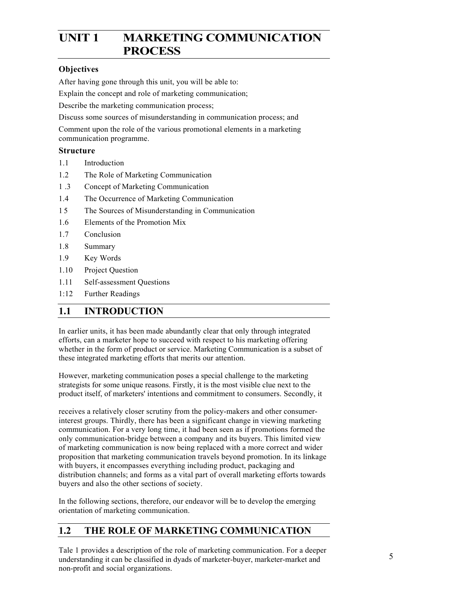# UNIT 1 MARKETING COMMUNICATION **PROCESS**

## **Objectives**

After having gone through this unit, you will be able to:

Explain the concept and role of marketing communication;

Describe the marketing communication process;

Discuss some sources of misunderstanding in communication process; and

Comment upon the role of the various promotional elements in a marketing communication programme.

## **Structure**

- 1.1Introduction
- 1.2 The Role of Marketing Communication
- 1 .3 Concept of Marketing Communication
- 1.4 The Occurrence of Marketing Communication
- 1 5 The Sources of Misunderstanding in Communication
- 1.6 Elements of the Promotion Mix
- 1.7 Conclusion
- 1.8 Summary
- 1.9 Key Words
- 1.10 Project Question
- 1.11 Self-assessment Questions
- 1:12 Further Readings

## **1.1 INTRODUCTION**

In earlier units, it has been made abundantly clear that only through integrated efforts, can a marketer hope to succeed with respect to his marketing offering whether in the form of product or service. Marketing Communication is a subset of these integrated marketing efforts that merits our attention.

However, marketing communication poses a special challenge to the marketing strategists for some unique reasons. Firstly, it is the most visible clue next to the product itself, of marketers' intentions and commitment to consumers. Secondly, it

receives a relatively closer scrutiny from the policy-makers and other consumerinterest groups. Thirdly, there has been a significant change in viewing marketing communication. For a very long time, it had been seen as if promotions formed the only communication-bridge between a company and its buyers. This limited view of marketing communication is now being replaced with a more correct and wider proposition that marketing communication travels beyond promotion. In its linkage with buyers, it encompasses everything including product, packaging and distribution channels; and forms as a vital part of overall marketing efforts towards buyers and also the other sections of society.

In the following sections, therefore, our endeavor will be to develop the emerging orientation of marketing communication.

## **1.2 THE ROLE OF MARKETING COMMUNICATION**

Tale 1 provides a description of the role of marketing communication. For a deeper understanding it can be classified in dyads of marketer-buyer, marketer-market and non-profit and social organizations.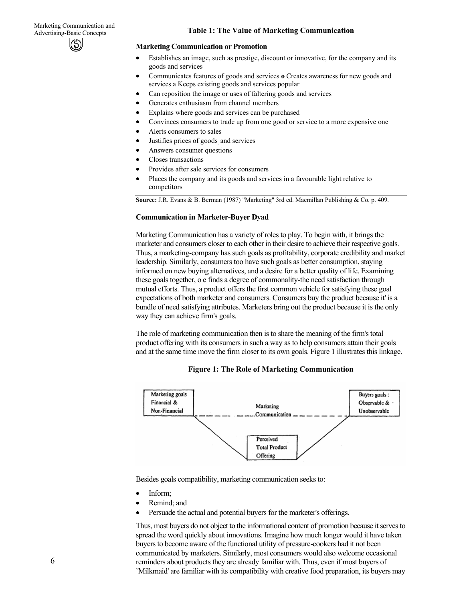#### **Marketing Communication or Promotion**

- Establishes an image, such as prestige, discount or innovative, for the company and its goods and services
- Communicates features of goods and services **o** Creates awareness for new goods and services a Keeps existing goods and services popular
- Can reposition the image or uses of faltering goods and services
- Generates enthusiasm from channel members
- Explains where goods and services can be purchased
- Convinces consumers to trade up from one good or service to a more expensive one
- Alerts consumers to sales
- Justifies prices of goods, and services
- Answers consumer questions
- Closes transactions
- Provides after sale services for consumers
- Places the company and its goods and services in a favourable light relative to competitors

**Source:** J.R. Evans & B. Berman (1987) "Marketing" 3rd ed. Macmillan Publishing & Co. p. 409.

#### **Communication in Marketer-Buyer Dyad**

Marketing Communication has a variety of roles to play. To begin with, it brings the marketer and consumers closer to each other in their desire to achieve their respective goals. Thus, a marketing-company has such goals as profitability, corporate credibility and market leadership. Similarly, consumers too have such goals as better consumption, staying informed on new buying alternatives, and a desire for a better quality of life. Examining these goals together, o e finds a degree of commonality-the need satisfaction through mutual efforts. Thus, a product offers the first common vehicle for satisfying these goal expectations of both marketer and consumers. Consumers buy the product because it' is a bundle of need satisfying attributes. Marketers bring out the product because it is the only way they can achieve firm's goals.

The role of marketing communication then is to share the meaning of the firm's total product offering with its consumers in such a way as to help consumers attain their goals and at the same time move the firm closer to its own goals. Figure 1 illustrates this linkage.

**Figure 1: The Role of Marketing Communication** 



Besides goals compatibility, marketing communication seeks to:

- Inform;
- Remind; and
- Persuade the actual and potential buyers for the marketer's offerings.

Thus, most buyers do not object to the informational content of promotion because it serves to spread the word quickly about innovations. Imagine how much longer would it have taken buyers to become aware of the functional utility of pressure-cookers had it not been communicated by marketers. Similarly, most consumers would also welcome occasional reminders about products they are already familiar with. Thus, even if most buyers of `Milkmaid' are familiar with its compatibility with creative food preparation, its buyers may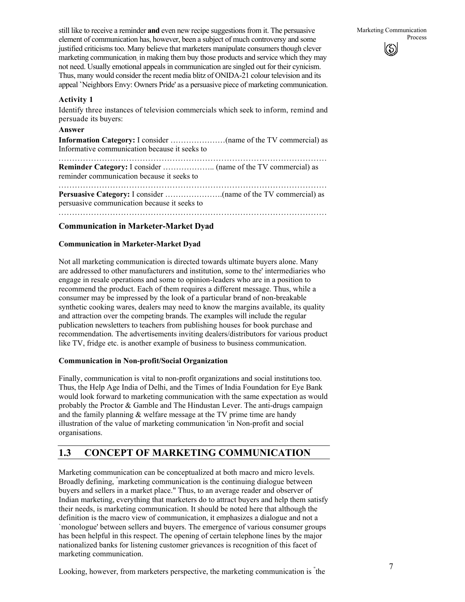### **Activity 1**

Identify three instances of television commercials which seek to inform, remind and persuade its buyers:

### **Answer**

**Information Category:** I consider …………………(name of the TV commercial) as Informative communication because it seeks to

................................................................................................... **Reminder Category:** I consider ……………….. (name of the TV commercial) as reminder communication because it seeks to

................................................................................................... **Persuasive Category:** I consider ………………….(name of the TV commercial) as persuasive communication because it seeks to

## **Communication in Marketer-Market Dyad**

### **Communication in Marketer-Market Dyad**

Not all marketing communication is directed towards ultimate buyers alone. Many are addressed to other manufacturers and institution, some to the' intermediaries who engage in resale operations and some to opinion-leaders who are in a position to recommend the product. Each of them requires a different message. Thus, while a consumer may be impressed by the look of a particular brand of non-breakable synthetic cooking wares, dealers may need to know the margins available, its quality and attraction over the competing brands. The examples will include the regular publication newsletters to teachers from publishing houses for book purchase and recommendation. The advertisements inviting dealers/distributors for various product like TV, fridge etc. is another example of business to business communication.

### **Communication in Non-profit/Social Organization**

Finally, communication is vital to non-profit organizations and social institutions too. Thus, the Help Age India of Delhi, and the Times of India Foundation for Eye Bank would look forward to marketing communication with the same expectation as would probably the Proctor & Gamble and The Hindustan Lever. The anti-drugs campaign and the family planning & welfare message at the TV prime time are handy illustration of the value of marketing communication 'in Non-profit and social organisations.

## **1.3 CONCEPT OF MARKETING COMMUNICATION**

Marketing communication can be conceptualized at both macro and micro levels. Broadly defining, " marketing communication is the continuing dialogue between buyers and sellers in a market place." Thus, to an average reader and observer of Indian marketing, everything that marketers do to attract buyers and help them satisfy their needs, is marketing communication. It should be noted here that although the definition is the macro view of communication, it emphasizes a dialogue and not a `monologue' between sellers and buyers. The emergence of various consumer groups has been helpful in this respect. The opening of certain telephone lines by the major nationalized banks for listening customer grievances is recognition of this facet of marketing communication.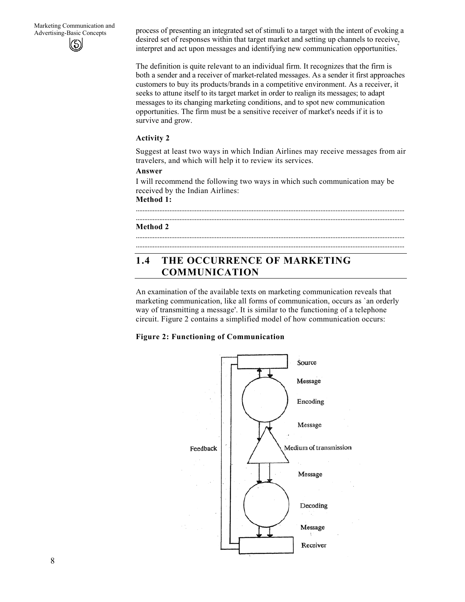Advertising-Basic Concepts process of presenting an integrated set of stimuli to a target with the intent of evoking a desired set of responses within that target market and setting up channels to receive, interpret and act upon messages and identifying new communication opportunities."

> The definition is quite relevant to an individual firm. It recognizes that the firm is both a sender and a receiver of market-related messages. As a sender it first approaches customers to buy its products/brands in a competitive environment. As a receiver, it seeks to attune itself to its target market in order to realign its messages; to adapt messages to its changing marketing conditions, and to spot new communication opportunities. The firm must be a sensitive receiver of market's needs if it is to survive and grow.

### **Activity 2**

Suggest at least two ways in which Indian Airlines may receive messages from air travelers, and which will help it to review its services.

### **Answer**

I will recommend the following two ways in which such communication may be received by the Indian Airlines:

................................................................................................................................................................

................................................................................................................................................................ ................................................................................................................................................................

**Method 1:**

#### ................................................................................................................................................................ **Method 2**

## **1.4 THE OCCURRENCE OF MARKETING COMMUNICATION**

An examination of the available texts on marketing communication reveals that marketing communication, like all forms of communication, occurs as `an orderly way of transmitting a message'. It is similar to the functioning of a telephone circuit. Figure 2 contains a simplified model of how communication occurs:

### **Figure 2: Functioning of Communication**

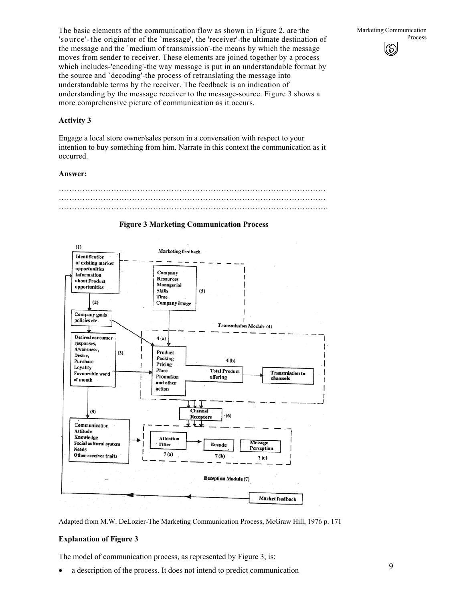The basic elements of the communication flow as shown in Figure 2, are the 'source'-the originator of the `message', the 'receiver'-the ultimate destination of the message and the `medium of transmission'-the means by which the message moves from sender to receiver. These elements are joined together by a process which includes-'encoding'-the way message is put in an understandable format by the source and `decoding'-the process of retranslating the message into understandable terms by the receiver. The feedback is an indication of understanding by the message receiver to the message-source. Figure 3 shows a more comprehensive picture of communication as it occurs.

### **Activity 3**

Engage a local store owner/sales person in a conversation with respect to your intention to buy something from him. Narrate in this context the communication as it occurred.

#### **Answer:**





#### **Figure 3 Marketing Communication Process**

Adapted from M.W. DeLozier-The Marketing Communication Process, McGraw Hill, 1976 p. 171

#### **Explanation of Figure 3**

The model of communication process, as represented by Figure 3, is:

• a description of the process. It does not intend to predict communication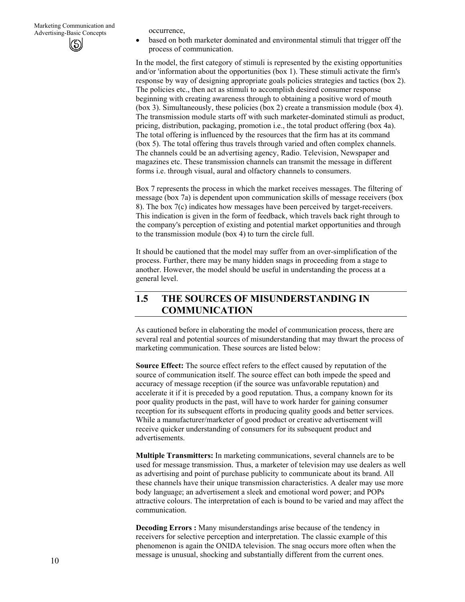• based on both marketer dominated and environmental stimuli that trigger off the process of communication.

In the model, the first category of stimuli is represented by the existing opportunities and/or 'information about the opportunities (box 1). These stimuli activate the firm's response by way of designing appropriate goals policies strategies and tactics (box 2). The policies etc., then act as stimuli to accomplish desired consumer response beginning with creating awareness through to obtaining a positive word of mouth (box 3). Simultaneously, these policies (box 2) create a transmission module (box 4). The transmission module starts off with such marketer-dominated stimuli as product, pricing, distribution, packaging, promotion i.e., the total product offering (box 4a). The total offering is influenced by the resources that the firm has at its command (box 5). The total offering thus travels through varied and often complex channels. The channels could be an advertising agency, Radio. Television, Newspaper and magazines etc. These transmission channels can transmit the message in different forms i.e. through visual, aural and olfactory channels to consumers.

Box 7 represents the process in which the market receives messages. The filtering of message (box 7a) is dependent upon communication skills of message receivers (box 8). The box 7(c) indicates how messages have been perceived by target-receivers. This indication is given in the form of feedback, which travels back right through to the company's perception of existing and potential market opportunities and through to the transmission module (box 4) to turn the circle full.

It should be cautioned that the model may suffer from an over-simplification of the process. Further, there may be many hidden snags in proceeding from a stage to another. However, the model should be useful in understanding the process at a general level.

## **1.5 THE SOURCES OF MISUNDERSTANDING IN COMMUNICATION**

As cautioned before in elaborating the model of communication process, there are several real and potential sources of misunderstanding that may thwart the process of marketing communication. These sources are listed below:

**Source Effect:** The source effect refers to the effect caused by reputation of the source of communication itself. The source effect can both impede the speed and accuracy of message reception (if the source was unfavorable reputation) and accelerate it if it is preceded by a good reputation. Thus, a company known for its poor quality products in the past, will have to work harder for gaining consumer reception for its subsequent efforts in producing quality goods and better services. While a manufacturer/marketer of good product or creative advertisement will receive quicker understanding of consumers for its subsequent product and advertisements.

**Multiple Transmitters:** In marketing communications, several channels are to be used for message transmission. Thus, a marketer of television may use dealers as well as advertising and point of purchase publicity to communicate about its brand. All these channels have their unique transmission characteristics. A dealer may use more body language; an advertisement a sleek and emotional word power; and POPs attractive colours. The interpretation of each is bound to be varied and may affect the communication.

**Decoding Errors :** Many misunderstandings arise because of the tendency in receivers for selective perception and interpretation. The classic example of this phenomenon is again the ONIDA television. The snag occurs more often when the message is unusual, shocking and substantially different from the current ones.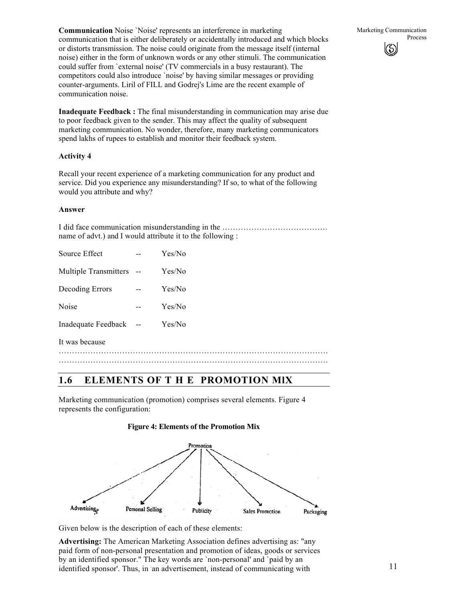**Communication** Noise 'Noise' represents an interference in marketing communication that is either deliberately or accidentally introduced and which blocks or distorts transmission. The noise could originate from the message itself (internal noise) either in the form of unknown words or any other stimuli. The communication could suffer from `external noise' (TV commercials in a busy restaurant). The competitors could also introduce `noise' by having similar messages or providing counter-arguments. Liril of FILL and Godrej's Lime are the recent example of communication noise.

**Inadequate Feedback :** The final misunderstanding in communication may arise due to poor feedback given to the sender. This may affect the quality of subsequent marketing communication. No wonder, therefore, many marketing communicators spend lakhs of rupees to establish and monitor their feedback system.

## **Activity 4**

Recall your recent experience of a marketing communication for any product and service. Did you experience any misunderstanding? If so, to what of the following would you attribute and why?

### **Answer**

I did face communication misunderstanding in the …………………………………. name of advt.) and I would attribute it to the following :

| Multiple Transmitters --<br>Yes/No<br>Yes/No<br>Decoding Errors<br>$-$<br>Noise<br>Yes/No<br>$-$<br>Inadequate Feedback --<br>Yes/No<br>It was because | Source Effect | -- | Yes/No |
|--------------------------------------------------------------------------------------------------------------------------------------------------------|---------------|----|--------|
|                                                                                                                                                        |               |    |        |
|                                                                                                                                                        |               |    |        |
|                                                                                                                                                        |               |    |        |
|                                                                                                                                                        |               |    |        |
|                                                                                                                                                        |               |    |        |
|                                                                                                                                                        |               |    |        |

## **1.6 ELEMENTS OF T H E PROMOTION MlX**

Marketing communication (promotion) comprises several elements. Figure 4 represents the configuration:

### **Figure 4: Elements of the Promotion Mix**



Given below is the description of each of these elements:

**Advertising:** The American Marketing Association defines advertising as: "any paid form of non-personal presentation and promotion of ideas, goods or services by an identified sponsor." The key words are `non-personal' and `paid by an identified sponsor'. Thus, in an advertisement, instead of communicating with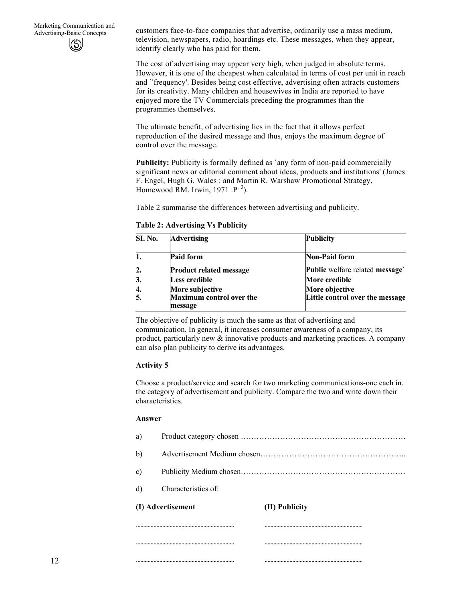customers face-to-face companies that advertise, ordinarily use a mass medium, television, newspapers, radio, hoardings etc. These messages, when they appear, identify clearly who has paid for them.

The cost of advertising may appear very high, when judged in absolute terms. However, it is one of the cheapest when calculated in terms of cost per unit in reach and `'frequency'. Besides being cost effective, advertising often attracts customers for its creativity. Many children and housewives in India are reported to have enjoyed more the TV Commercials preceding the programmes than the programmes themselves.

The ultimate benefit, of advertising lies in the fact that it allows perfect reproduction of the desired message and thus, enjoys the maximum degree of control over the message.

**Publicity:** Publicity is formally defined as 'any form of non-paid commercially significant news or editorial comment about ideas, products and institutions' (James F. Engel, Hugh G. Wales : and Martin R. Warshaw Promotional Strategy, Homewood RM. Irwin, 1971 . $P^{-3}$ ).

Table 2 summarise the differences between advertising and publicity.

**Table 2: Advertising Vs Publicity** 

| <b>SI. No.</b> | <b>Advertising</b>                         | <b>Publicity</b>                |
|----------------|--------------------------------------------|---------------------------------|
|                | <b>Paid form</b>                           | <b>Non-Paid form</b>            |
|                | <b>Product related message</b>             | Public welfare related message  |
| 3.             | Less credible                              | More credible                   |
|                | More subjective                            | More objective                  |
|                | <b>Maximum control over the</b><br>message | Little control over the message |

The objective of publicity is much the same as that of advertising and communication. In general, it increases consumer awareness of a company, its product, particularly new  $\&$  innovative products-and marketing practices. A company can also plan publicity to derive its advantages.

### **Activity 5**

Choose a product/service and search for two marketing communications-one each in. the category of advertisement and publicity. Compare the two and write down their characteristics.

#### **Answer**

| (I) Advertisement |                     | (II) Publicity |  |
|-------------------|---------------------|----------------|--|
| d)                | Characteristics of: |                |  |
| c)                |                     |                |  |
| b)                |                     |                |  |
| a)                |                     |                |  |

................................................................... ...................................................................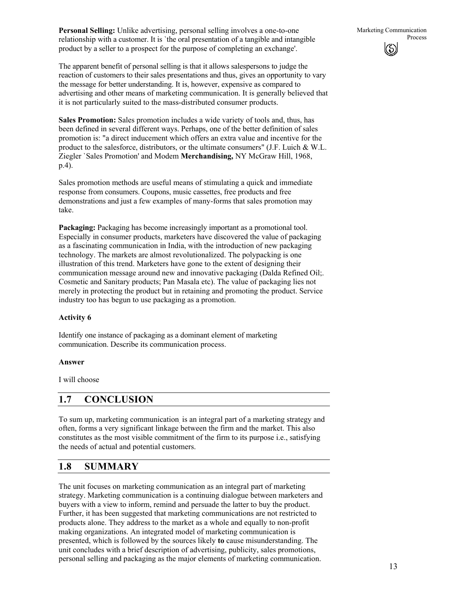**Personal Selling:** Unlike advertising, personal selling involves a one-to-one relationship with a customer. It is `the oral presentation of a tangible and intangible product by a seller to a prospect for the purpose of completing an exchange'.

The apparent benefit of personal selling is that it allows salespersons to judge the reaction of customers to their sales presentations and thus, gives an opportunity to vary the message for better understanding. It is, however, expensive as compared to advertising and other means of marketing communication. It is generally believed that it is not particularly suited to the mass-distributed consumer products.

**Sales Promotion:** Sales promotion includes a wide variety of tools and, thus, has been defined in several different ways. Perhaps, one of the better definition of sales promotion is: "a direct inducement which offers an extra value and incentive for the product to the salesforce, distributors, or the ultimate consumers"  $(J.F. Luich & W.L.$ Ziegler `Sales Promotion' and Modem **Merchandising,** NY McGraw Hill, 1968, p.4).

Sales promotion methods are useful means of stimulating a quick and immediate response from consumers. Coupons, music cassettes, free products and free demonstrations and just a few examples of many-forms that sales promotion may take.

**Packaging:** Packaging has become increasingly important as a promotional tool. Especially in consumer products, marketers have discovered the value of packaging as a fascinating communication in India, with the introduction of new packaging technology. The markets are almost revolutionalized. The polypacking is one illustration of this trend. Marketers have gone to the extent of designing their communication message around new and innovative packaging (Dalda Refined Oil;. Cosmetic and Sanitary products; Pan Masala etc). The value of packaging lies not merely in protecting the product but in retaining and promoting the product. Service industry too has begun to use packaging as a promotion.

### **Activity 6**

Identify one instance of packaging as a dominant element of marketing communication. Describe its communication process.

#### **Answer**

I will choose

## **1.7 CONCLUSION**

To sum up, marketing communication. is an integral part of a marketing strategy and often, forms a very significant linkage between the firm and the market. This also constitutes as the most visible commitment of the firm to its purpose i.e., satisfying the needs of actual and potential customers.

## **1.8 SUMMARY**

The unit focuses on marketing communication as an integral part of marketing strategy. Marketing communication is a continuing dialogue between marketers and buyers with a view to inform, remind and persuade the latter to buy the product. Further, it has been suggested that marketing communications are not restricted to products alone. They address to the market as a whole and equally to non-profit making organizations. An integrated model of marketing communication is presented, which is followed by the sources likely **to** cause misunderstanding. The unit concludes with a brief description of advertising, publicity, sales promotions, personal selling and packaging as the major elements of marketing communication.